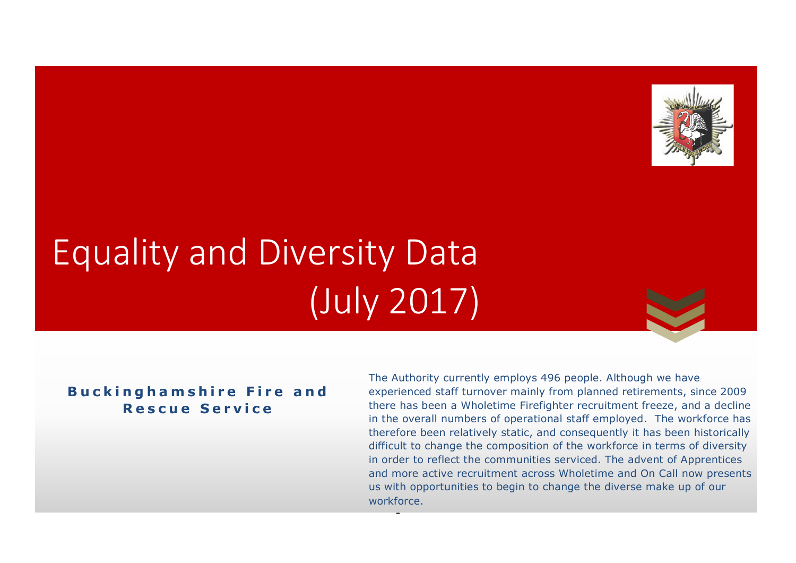

# Equality and Diversity Data (July 2017)

#### **Buckingh a mshire Fire and Rescue Service**

1 therefore been relatively static, and consequently it has been historically difficult to change the composition of the workforce in terms of diversity and more active recruitment across Wholetime and On Call now presents us with opportunities to begin to change the diverse make up of our The Authority currently employs 496 people. Although we have experienced staff turnover mainly from planned retirements, since 2009 there has been a Wholetime Firefighter recruitment freeze, and a decline in the overall numbers of operational staff employed. The workforce has in order to reflect the communities serviced. The advent of Apprentices workforce.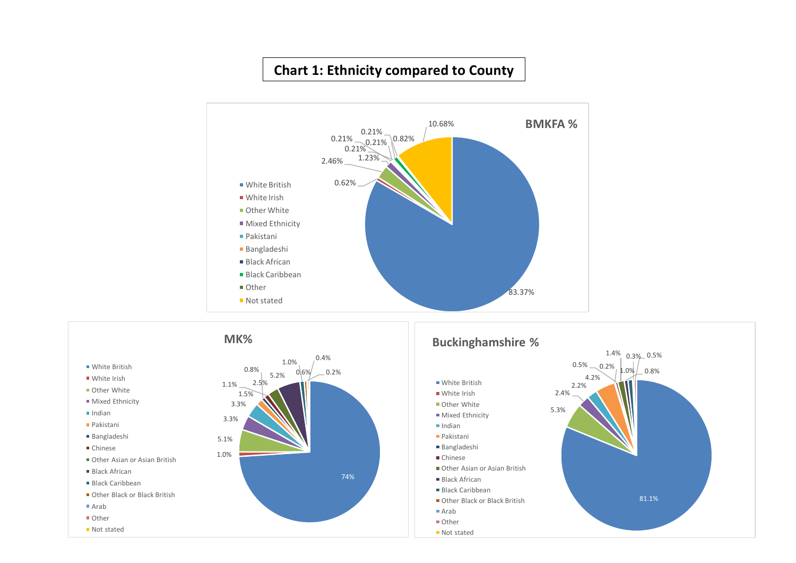#### **Chart 1: Ethnicity compared to County**



81.1%

 $1.4\%$  0.3% 0.5%  $1.0\%$   $\_$  0.8%

 $-$  Distribution  $-$  2.0  $\sqrt{2}$   $\sqrt{2}$   $\sqrt{2}$   $\sqrt{2}$   $\sqrt{2}$   $\sqrt{2}$   $\sqrt{2}$   $\sqrt{2}$   $\sqrt{2}$   $\sqrt{2}$   $\sqrt{2}$   $\sqrt{2}$   $\sqrt{2}$   $\sqrt{2}$   $\sqrt{2}$   $\sqrt{2}$   $\sqrt{2}$   $\sqrt{2}$   $\sqrt{2}$   $\sqrt{2}$   $\sqrt{2}$   $\sqrt{2}$   $\sqrt{2}$   $\sqrt{2}$   $\sqrt{$ 74% 1.0% 5.1% 3.3% 3.3% 1.5% 0.8%  $1.1\%$  2.5% 5.2% 1.0%  $0.6\%$   $-0.2\%$ 0.4% **MK% White British** ■ White Irish **Other White Mixed Ethnicity**  $\blacksquare$ Indian Pakistani Bangladeshi Chinese Other Asian or Asian British Black African Black Caribbean Other Black or Black British ■ Arab Other ■ Not stated 5.3% 2.4% 2.2% 4.2%  $0.5\%$  0.2% **Buckinghamshire %** ■ White British  $\blacksquare$  White Irish Other White **Mixed Ethnicity**  $\blacksquare$ Indian Pakistani Bangladeshi ■ Chinese Other Asian or Asian British Black African **Black Caribbean** Other Black or Black British ■ Arab ■ Other ■ Not stated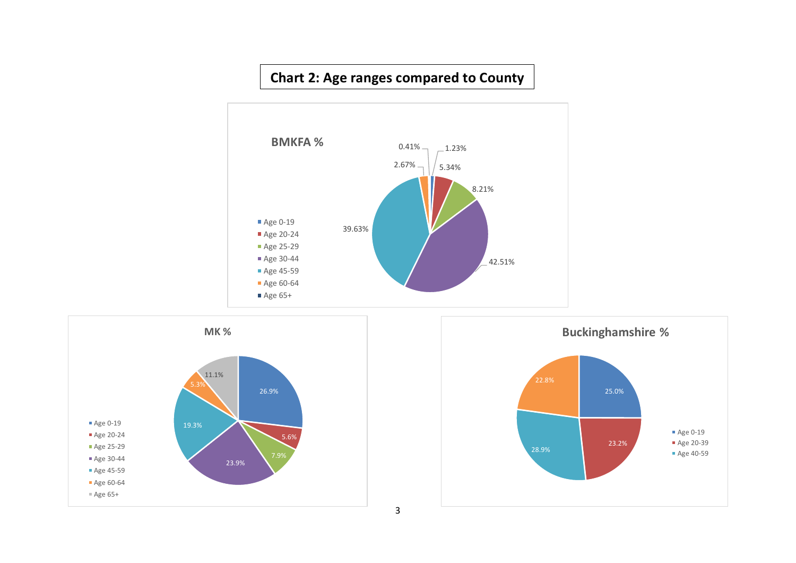# **Chart 2: Age ranges compared to County**





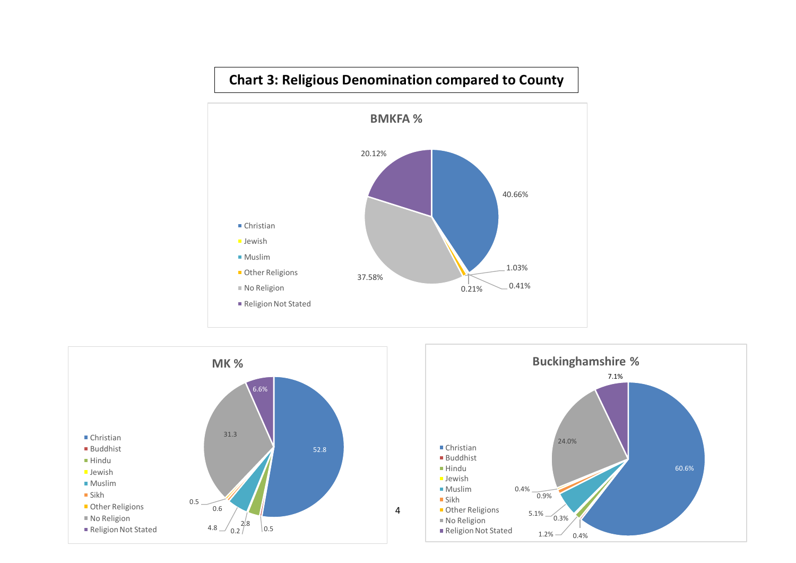

# **Chart 3: Religious Denomination compared to County**



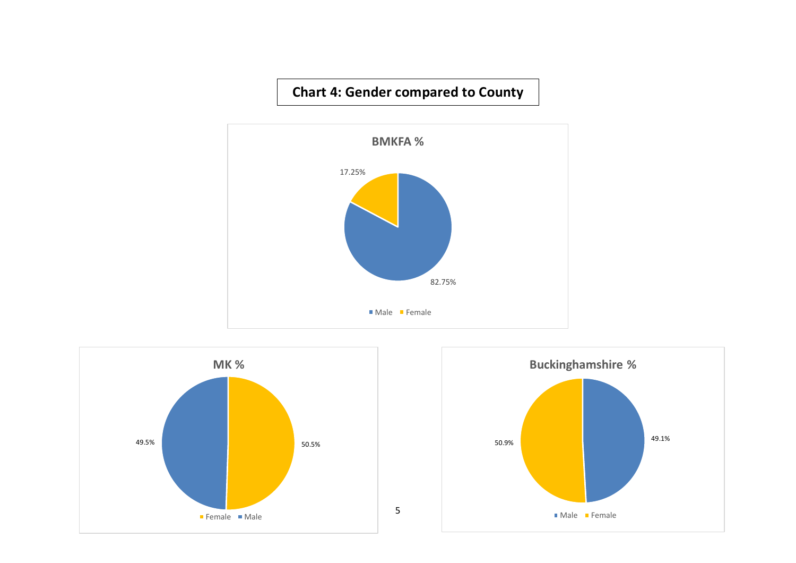#### **Chart 4: Gender compared to County**





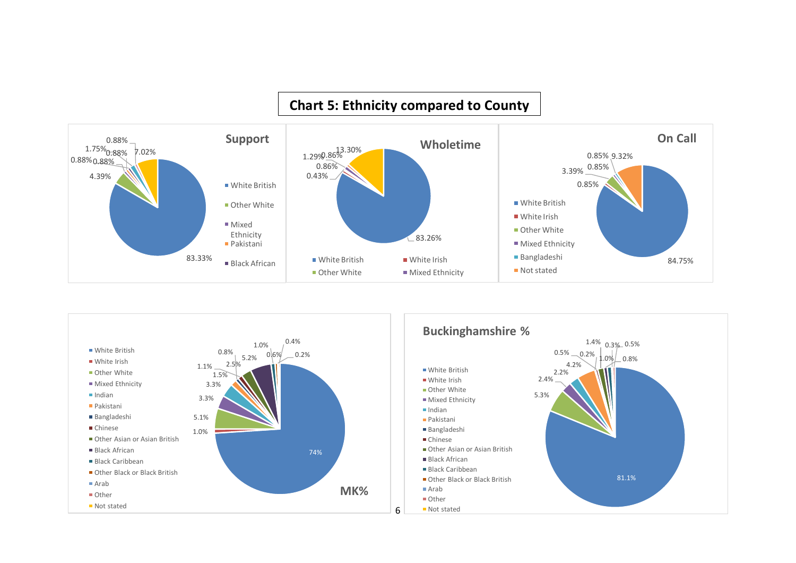# **Chart 5: Ethnicity compared to County**



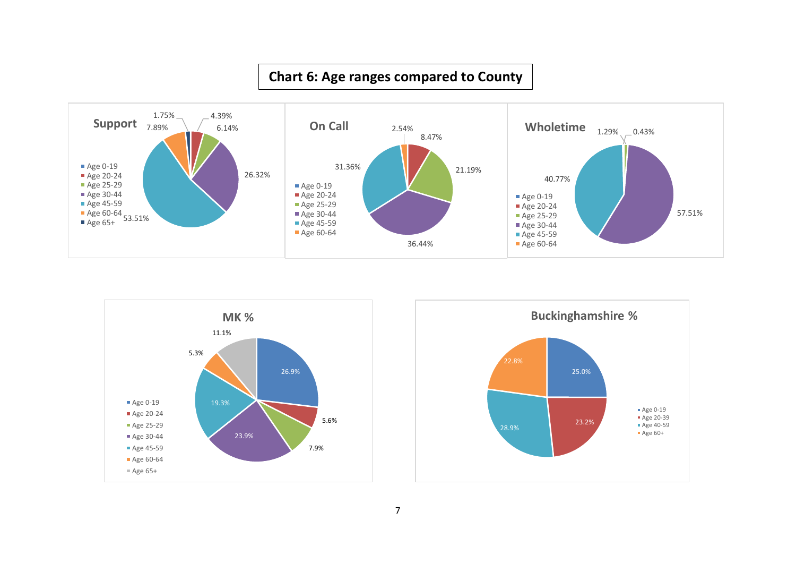#### <u> 1989 - Johann Stein, Amerikaansk politiker († 1908)</u> **Chart 6: Age ranges compared to County**





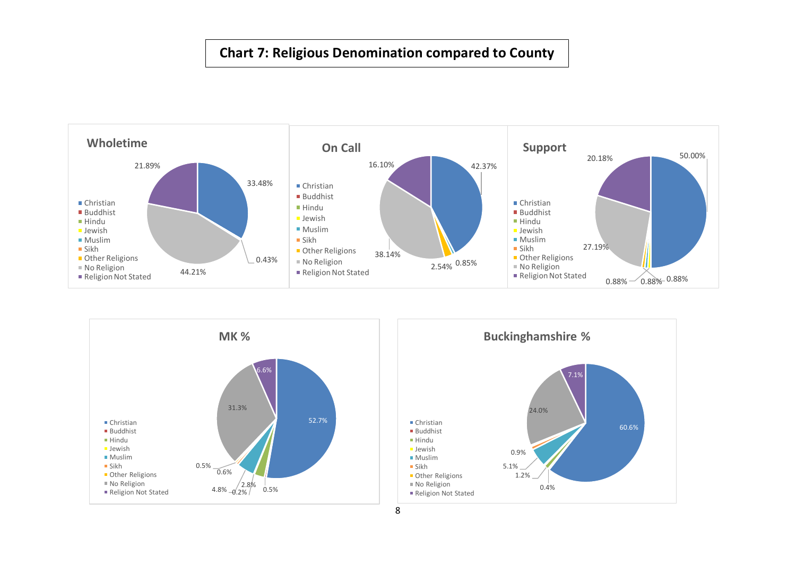#### **Chart 7: Religious Denomination compared to County**

**Census** 





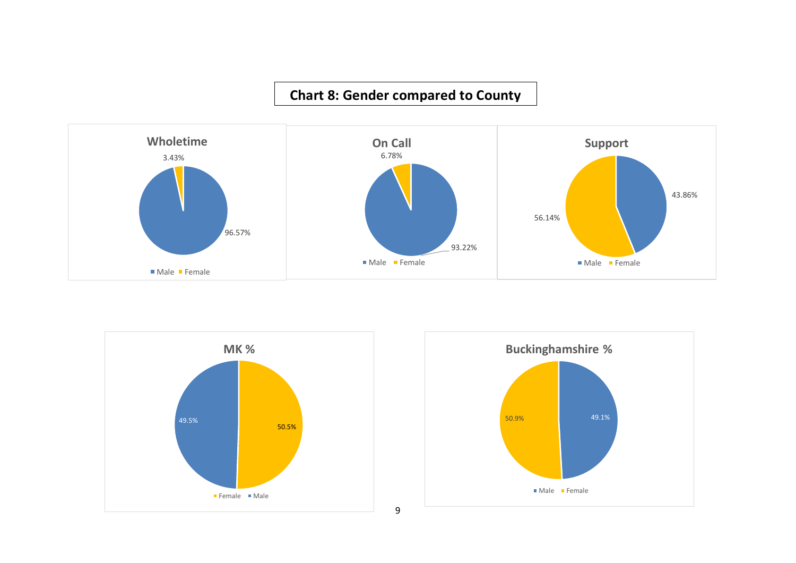# **Chart 8: Gender compared to County**





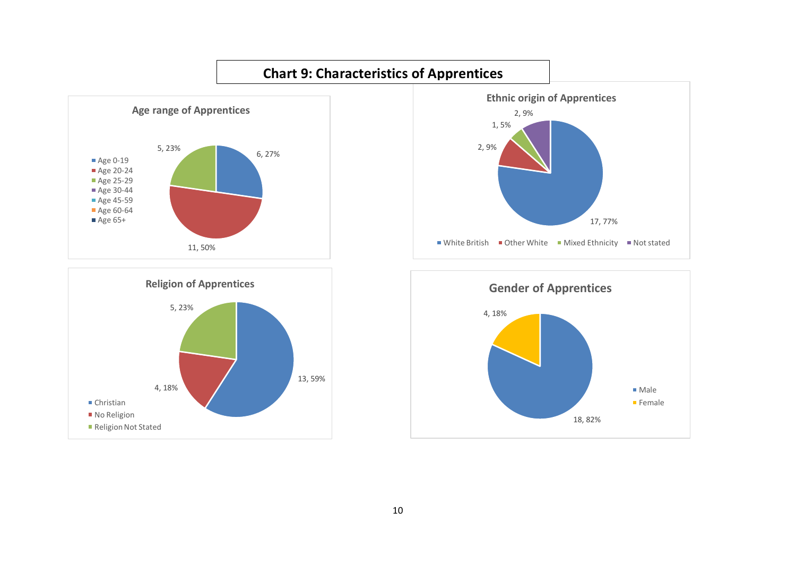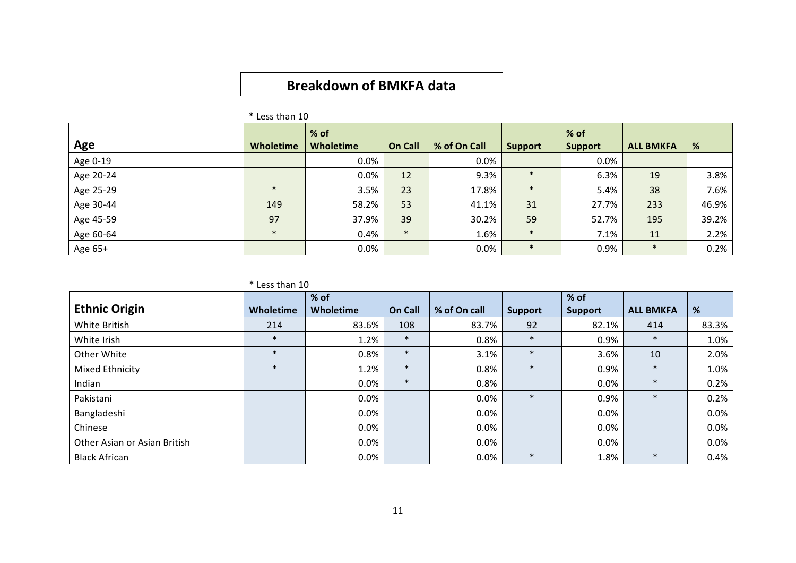# **Breakdown of BMKFA data**

| Age       | <b>Wholetime</b> | $%$ of<br>Wholetime | <b>On Call</b> | % of On Call | <b>Support</b> | $%$ of<br><b>Support</b> | <b>ALL BMKFA</b> | %     |
|-----------|------------------|---------------------|----------------|--------------|----------------|--------------------------|------------------|-------|
| Age 0-19  |                  | 0.0%                |                | 0.0%         |                | $0.0\%$                  |                  |       |
| Age 20-24 |                  | 0.0%                | 12             | 9.3%         | $\ast$         | 6.3%                     | 19               | 3.8%  |
| Age 25-29 | $\ast$           | 3.5%                | 23             | 17.8%        | $\ast$         | 5.4%                     | 38               | 7.6%  |
| Age 30-44 | 149              | 58.2%               | 53             | 41.1%        | 31             | 27.7%                    | 233              | 46.9% |
| Age 45-59 | 97               | 37.9%               | 39             | 30.2%        | 59             | 52.7%                    | 195              | 39.2% |
| Age 60-64 | $\star$          | 0.4%                | $\ast$         | 1.6%         | $\ast$         | 7.1%                     | 11               | 2.2%  |
| Age 65+   |                  | 0.0%                |                | 0.0%         | $\ast$         | 0.9%                     | $\ast$           | 0.2%  |

 $*$  Less than 10

|                              |           | % of      |         |              |                | % of           |                  |       |
|------------------------------|-----------|-----------|---------|--------------|----------------|----------------|------------------|-------|
| <b>Ethnic Origin</b>         | Wholetime | Wholetime | On Call | % of On call | <b>Support</b> | <b>Support</b> | <b>ALL BMKFA</b> | %     |
| White British                | 214       | 83.6%     | 108     | 83.7%        | 92             | 82.1%          | 414              | 83.3% |
| White Irish                  | $\ast$    | 1.2%      | $\ast$  | 0.8%         | $\ast$         | 0.9%           | $\ast$           | 1.0%  |
| Other White                  | $\ast$    | 0.8%      | $\ast$  | 3.1%         | $\ast$         | 3.6%           | 10               | 2.0%  |
| Mixed Ethnicity              |           | 1.2%      | $\ast$  | 0.8%         | $\ast$         | 0.9%           | $\ast$           | 1.0%  |
| Indian                       |           | 0.0%      | $\ast$  | 0.8%         |                | 0.0%           | $\ast$           | 0.2%  |
| Pakistani                    |           | $0.0\%$   |         | 0.0%         | $\ast$         | 0.9%           | $\ast$           | 0.2%  |
| Bangladeshi                  |           | $0.0\%$   |         | $0.0\%$      |                | $0.0\%$        |                  | 0.0%  |
| Chinese                      |           | $0.0\%$   |         | $0.0\%$      |                | $0.0\%$        |                  | 0.0%  |
| Other Asian or Asian British |           | 0.0%      |         | 0.0%         |                | 0.0%           |                  | 0.0%  |
| <b>Black African</b>         |           | 0.0%      |         | 0.0%         | $\ast$         | 1.8%           | $\ast$           | 0.4%  |